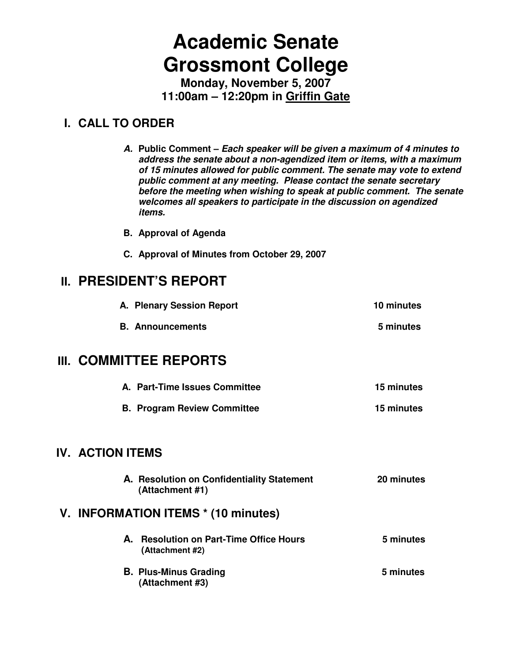# **Academic Senate Grossmont College**

**Monday, November 5, 2007 11:00am – 12:20pm in Griffin Gate**

# **I. CALL TO ORDER**

**A. Public Comment – Each speaker will be given a maximum of 4 minutes to address the senate about a non-agendized item or items, with a maximum of 15 minutes allowed for public comment. The senate may vote to extend public comment at any meeting. Please contact the senate secretary before the meeting when wishing to speak at public comment. The senate welcomes all speakers to participate in the discussion on agendized items.** 

**B. Approval of Agenda** 

**C. Approval of Minutes from October 29, 2007** 

# **II. PRESIDENT'S REPORT**

| A. Plenary Session Report | 10 minutes |
|---------------------------|------------|
|                           |            |

**B.** Announcements **5 minutes** 

# **III. COMMITTEE REPORTS**

| A. Part-Time Issues Committee      | 15 minutes |
|------------------------------------|------------|
| <b>B. Program Review Committee</b> | 15 minutes |

## **IV. ACTION ITEMS**

**A. Resolution on Confidentiality Statement 20 minutes (Attachment #1)**

# **V. INFORMATION ITEMS \* (10 minutes)**

- A. **Resolution on Part-Time Office Hours 6 minutes (Attachment #2)**
- **B. Plus-Minus Grading 5 minutes (Attachment #3)**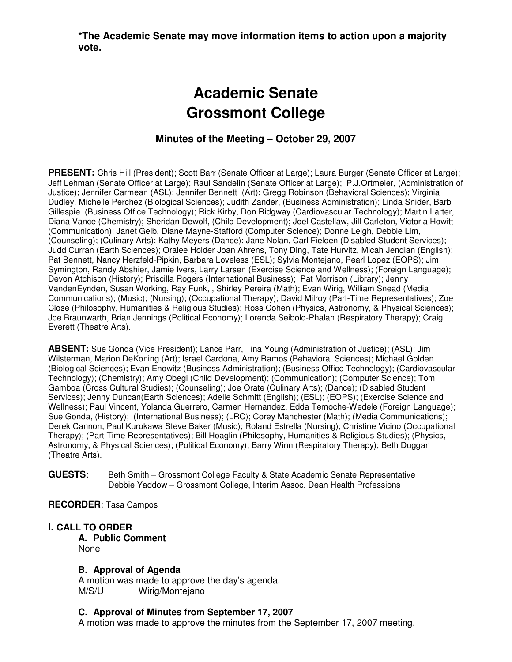**\*The Academic Senate may move information items to action upon a majority vote.** 

# **Academic Senate Grossmont College**

#### **Minutes of the Meeting – October 29, 2007**

**PRESENT:** Chris Hill (President); Scott Barr (Senate Officer at Large); Laura Burger (Senate Officer at Large); Jeff Lehman (Senate Officer at Large); Raul Sandelin (Senate Officer at Large); P.J.Ortmeier, (Administration of Justice); Jennifer Carmean (ASL); Jennifer Bennett (Art); Gregg Robinson (Behavioral Sciences); Virginia Dudley, Michelle Perchez (Biological Sciences); Judith Zander, (Business Administration); Linda Snider, Barb Gillespie (Business Office Technology); Rick Kirby, Don Ridgway (Cardiovascular Technology); Martin Larter, Diana Vance (Chemistry); Sheridan Dewolf, (Child Development); Joel Castellaw, Jill Carleton, Victoria Howitt (Communication); Janet Gelb, Diane Mayne-Stafford (Computer Science); Donne Leigh, Debbie Lim, (Counseling); (Culinary Arts); Kathy Meyers (Dance); Jane Nolan, Carl Fielden (Disabled Student Services); Judd Curran (Earth Sciences); Oralee Holder Joan Ahrens, Tony Ding, Tate Hurvitz, Micah Jendian (English); Pat Bennett, Nancy Herzfeld-Pipkin, Barbara Loveless (ESL); Sylvia Montejano, Pearl Lopez (EOPS); Jim Symington, Randy Abshier, Jamie Ivers, Larry Larsen (Exercise Science and Wellness); (Foreign Language); Devon Atchison (History); Priscilla Rogers (International Business); Pat Morrison (Library); Jenny VandenEynden, Susan Working, Ray Funk, , Shirley Pereira (Math); Evan Wirig, William Snead (Media Communications); (Music); (Nursing); (Occupational Therapy); David Milroy (Part-Time Representatives); Zoe Close (Philosophy, Humanities & Religious Studies); Ross Cohen (Physics, Astronomy, & Physical Sciences); Joe Braunwarth, Brian Jennings (Political Economy); Lorenda Seibold-Phalan (Respiratory Therapy); Craig Everett (Theatre Arts).

**ABSENT:** Sue Gonda (Vice President); Lance Parr, Tina Young (Administration of Justice); (ASL); Jim Wilsterman, Marion DeKoning (Art); Israel Cardona, Amy Ramos (Behavioral Sciences); Michael Golden (Biological Sciences); Evan Enowitz (Business Administration); (Business Office Technology); (Cardiovascular Technology); (Chemistry); Amy Obegi (Child Development); (Communication); (Computer Science); Tom Gamboa (Cross Cultural Studies); (Counseling); Joe Orate (Culinary Arts); (Dance); (Disabled Student Services); Jenny Duncan(Earth Sciences); Adelle Schmitt (English); (ESL); (EOPS); (Exercise Science and Wellness); Paul Vincent, Yolanda Guerrero, Carmen Hernandez, Edda Temoche-Wedele (Foreign Language); Sue Gonda, (History); (International Business); (LRC); Corey Manchester (Math); (Media Communications); Derek Cannon, Paul Kurokawa Steve Baker (Music); Roland Estrella (Nursing); Christine Vicino (Occupational Therapy); (Part Time Representatives); Bill Hoaglin (Philosophy, Humanities & Religious Studies); (Physics, Astronomy, & Physical Sciences); (Political Economy); Barry Winn (Respiratory Therapy); Beth Duggan (Theatre Arts).

**GUESTS**: Beth Smith – Grossmont College Faculty & State Academic Senate Representative Debbie Yaddow – Grossmont College, Interim Assoc. Dean Health Professions

**RECORDER**: Tasa Campos

#### **I. CALL TO ORDER**

**A. Public Comment**  None

#### **B. Approval of Agenda**

A motion was made to approve the day's agenda. M/S/U Wirig/Montejano

#### **C. Approval of Minutes from September 17, 2007**

A motion was made to approve the minutes from the September 17, 2007 meeting.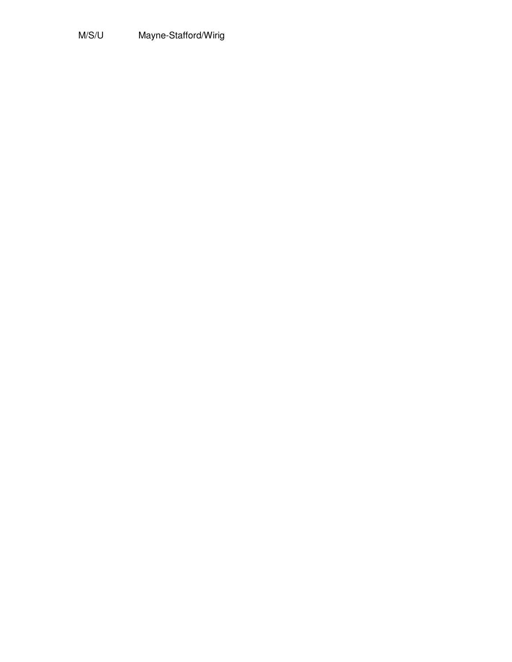# M/S/U Mayne-Stafford/Wirig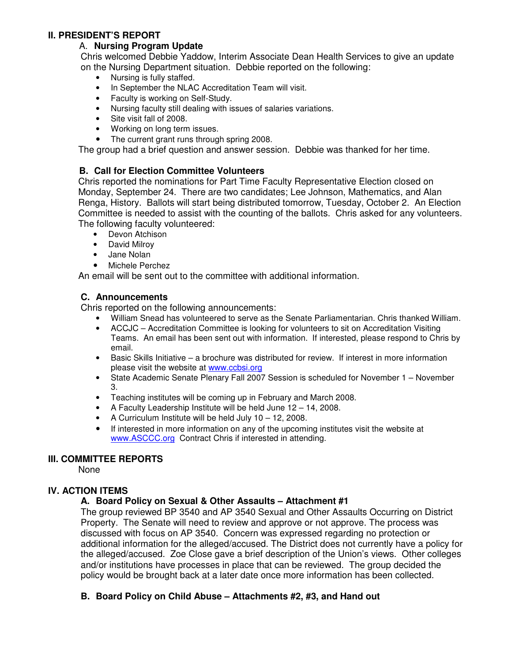#### **II. PRESIDENT'S REPORT**

#### A. **Nursing Program Update**

Chris welcomed Debbie Yaddow, Interim Associate Dean Health Services to give an update on the Nursing Department situation. Debbie reported on the following:

- Nursing is fully staffed.
- In September the NLAC Accreditation Team will visit.
- Faculty is working on Self-Study.
- Nursing faculty still dealing with issues of salaries variations.
- Site visit fall of 2008.
- Working on long term issues.
- The current grant runs through spring 2008.

The group had a brief question and answer session. Debbie was thanked for her time.

#### **B. Call for Election Committee Volunteers**

Chris reported the nominations for Part Time Faculty Representative Election closed on Monday, September 24. There are two candidates; Lee Johnson, Mathematics, and Alan Renga, History. Ballots will start being distributed tomorrow, Tuesday, October 2. An Election Committee is needed to assist with the counting of the ballots. Chris asked for any volunteers. The following faculty volunteered:

- Devon Atchison
- David Milroy
- Jane Nolan
- Michele Perchez

An email will be sent out to the committee with additional information.

#### **C. Announcements**

Chris reported on the following announcements:

- William Snead has volunteered to serve as the Senate Parliamentarian. Chris thanked William.
- ACCJC Accreditation Committee is looking for volunteers to sit on Accreditation Visiting Teams. An email has been sent out with information. If interested, please respond to Chris by email.
- Basic Skills Initiative a brochure was distributed for review. If interest in more information please visit the website at www.ccbsi.org
- State Academic Senate Plenary Fall 2007 Session is scheduled for November 1 November 3.
- Teaching institutes will be coming up in February and March 2008.
- A Faculty Leadership Institute will be held June 12 14, 2008.
- A Curriculum Institute will be held July 10 12, 2008.
- If interested in more information on any of the upcoming institutes visit the website at www.ASCCC.org Contract Chris if interested in attending.

#### **III. COMMITTEE REPORTS**

None

#### **IV. ACTION ITEMS**

#### **A. Board Policy on Sexual & Other Assaults – Attachment #1**

The group reviewed BP 3540 and AP 3540 Sexual and Other Assaults Occurring on District Property. The Senate will need to review and approve or not approve. The process was discussed with focus on AP 3540. Concern was expressed regarding no protection or additional information for the alleged/accused. The District does not currently have a policy for the alleged/accused. Zoe Close gave a brief description of the Union's views. Other colleges and/or institutions have processes in place that can be reviewed. The group decided the policy would be brought back at a later date once more information has been collected.

#### **B. Board Policy on Child Abuse – Attachments #2, #3, and Hand out**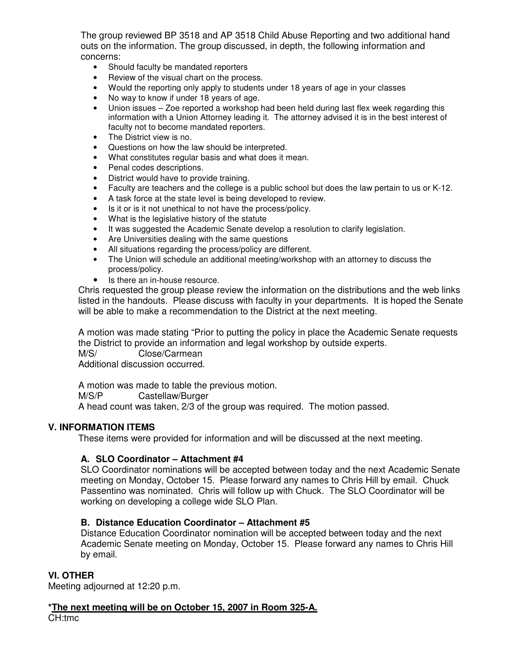The group reviewed BP 3518 and AP 3518 Child Abuse Reporting and two additional hand outs on the information. The group discussed, in depth, the following information and concerns:

- Should faculty be mandated reporters
- Review of the visual chart on the process.
- Would the reporting only apply to students under 18 years of age in your classes
- No way to know if under 18 years of age.
- Union issues Zoe reported a workshop had been held during last flex week regarding this information with a Union Attorney leading it. The attorney advised it is in the best interest of faculty not to become mandated reporters.
- The District view is no.
- Questions on how the law should be interpreted.
- What constitutes regular basis and what does it mean.
- Penal codes descriptions.
- District would have to provide training.
- Faculty are teachers and the college is a public school but does the law pertain to us or K-12.
- A task force at the state level is being developed to review.
- Is it or is it not unethical to not have the process/policy.
- What is the legislative history of the statute
- It was suggested the Academic Senate develop a resolution to clarify legislation.
- Are Universities dealing with the same questions
- All situations regarding the process/policy are different.
- The Union will schedule an additional meeting/workshop with an attorney to discuss the process/policy.
- Is there an in-house resource.

Chris requested the group please review the information on the distributions and the web links listed in the handouts. Please discuss with faculty in your departments. It is hoped the Senate will be able to make a recommendation to the District at the next meeting.

A motion was made stating "Prior to putting the policy in place the Academic Senate requests the District to provide an information and legal workshop by outside experts. M/S/ Close/Carmean

Additional discussion occurred.

A motion was made to table the previous motion. M/S/P Castellaw/Burger A head count was taken, 2/3 of the group was required. The motion passed.

#### **V. INFORMATION ITEMS**

These items were provided for information and will be discussed at the next meeting.

#### **A. SLO Coordinator – Attachment #4**

SLO Coordinator nominations will be accepted between today and the next Academic Senate meeting on Monday, October 15. Please forward any names to Chris Hill by email. Chuck Passentino was nominated. Chris will follow up with Chuck. The SLO Coordinator will be working on developing a college wide SLO Plan.

#### **B. Distance Education Coordinator – Attachment #5**

Distance Education Coordinator nomination will be accepted between today and the next Academic Senate meeting on Monday, October 15. Please forward any names to Chris Hill by email.

#### **VI. OTHER**

Meeting adjourned at 12:20 p.m.

**\*The next meeting will be on October 15, 2007 in Room 325-A.** CH:tmc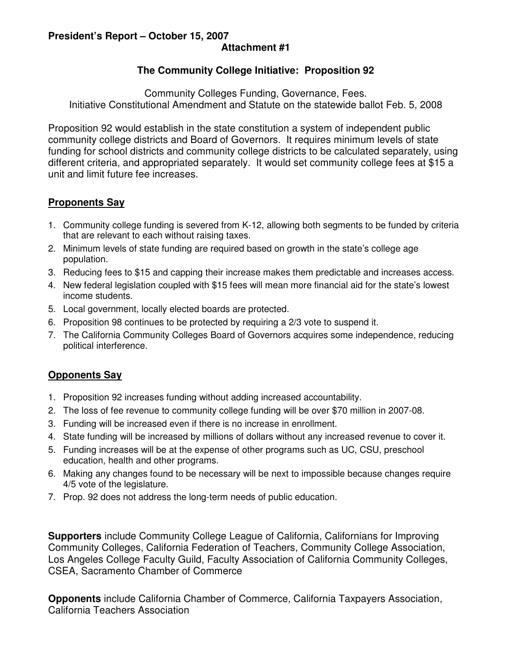#### **President's Report – October 15, 2007 Attachment #1**

### **The Community College Initiative: Proposition 92**

Community Colleges Funding, Governance, Fees. Initiative Constitutional Amendment and Statute on the statewide ballot Feb. 5, 2008

Proposition 92 would establish in the state constitution a system of independent public community college districts and Board of Governors. It requires minimum levels of state funding for school districts and community college districts to be calculated separately, using different criteria, and appropriated separately. It would set community college fees at \$15 a unit and limit future fee increases.

### **Proponents Say**

- 1. Community college funding is severed from K-12, allowing both segments to be funded by criteria that are relevant to each without raising taxes.
- 2. Minimum levels of state funding are required based on growth in the state's college age population.
- 3. Reducing fees to \$15 and capping their increase makes them predictable and increases access.
- 4. New federal legislation coupled with \$15 fees will mean more financial aid for the state's lowest income students.
- 5. Local government, locally elected boards are protected.
- 6. Proposition 98 continues to be protected by requiring a 2/3 vote to suspend it.
- 7. The California Community Colleges Board of Governors acquires some independence, reducing political interference.

### **Opponents Say**

- 1. Proposition 92 increases funding without adding increased accountability.
- 2. The loss of fee revenue to community college funding will be over \$70 million in 2007-08.
- 3. Funding will be increased even if there is no increase in enrollment.
- 4. State funding will be increased by millions of dollars without any increased revenue to cover it.
- 5. Funding increases will be at the expense of other programs such as UC, CSU, preschool education, health and other programs.
- 6. Making any changes found to be necessary will be next to impossible because changes require 4/5 vote of the legislature.
- 7. Prop. 92 does not address the long-term needs of public education.

**Supporters** include Community College League of California, Californians for Improving Community Colleges, California Federation of Teachers, Community College Association, Los Angeles College Faculty Guild, Faculty Association of California Community Colleges, CSEA, Sacramento Chamber of Commerce

**Opponents** include California Chamber of Commerce, California Taxpayers Association, California Teachers Association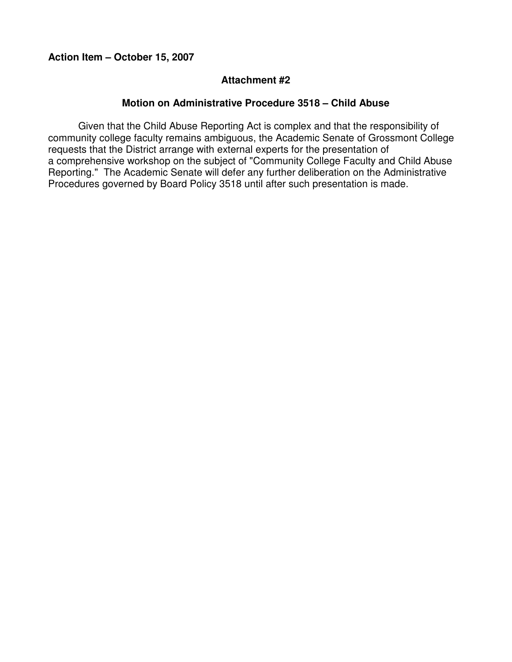#### **Attachment #2**

#### **Motion on Administrative Procedure 3518 – Child Abuse**

Given that the Child Abuse Reporting Act is complex and that the responsibility of community college faculty remains ambiguous, the Academic Senate of Grossmont College requests that the District arrange with external experts for the presentation of a comprehensive workshop on the subject of "Community College Faculty and Child Abuse Reporting." The Academic Senate will defer any further deliberation on the Administrative Procedures governed by Board Policy 3518 until after such presentation is made.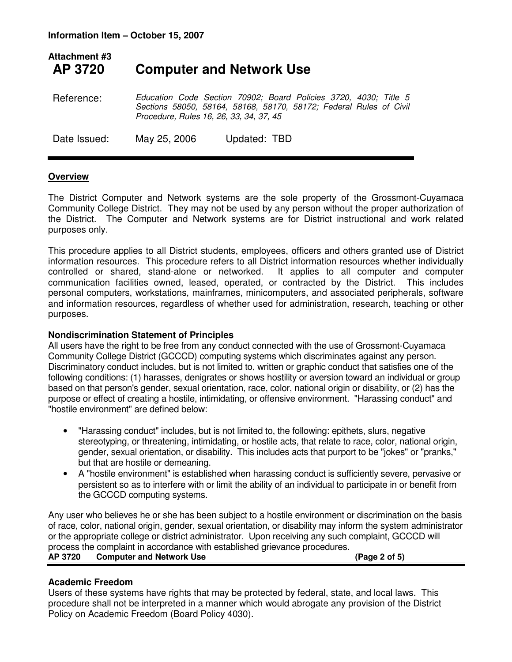### **Attachment #3 AP 3720 Computer and Network Use**

Reference: Education Code Section 70902; Board Policies 3720, 4030; Title 5 Sections 58050, 58164, 58168, 58170, 58172; Federal Rules of Civil Procedure, Rules 16, 26, 33, 34, 37, 45

Date Issued: May 25, 2006 Updated: TBD

#### **Overview**

The District Computer and Network systems are the sole property of the Grossmont-Cuyamaca Community College District. They may not be used by any person without the proper authorization of the District. The Computer and Network systems are for District instructional and work related purposes only.

This procedure applies to all District students, employees, officers and others granted use of District information resources. This procedure refers to all District information resources whether individually controlled or shared, stand-alone or networked. It applies to all computer and computer communication facilities owned, leased, operated, or contracted by the District. This includes personal computers, workstations, mainframes, minicomputers, and associated peripherals, software and information resources, regardless of whether used for administration, research, teaching or other purposes.

#### **Nondiscrimination Statement of Principles**

All users have the right to be free from any conduct connected with the use of Grossmont-Cuyamaca Community College District (GCCCD) computing systems which discriminates against any person. Discriminatory conduct includes, but is not limited to, written or graphic conduct that satisfies one of the following conditions: (1) harasses, denigrates or shows hostility or aversion toward an individual or group based on that person's gender, sexual orientation, race, color, national origin or disability, or (2) has the purpose or effect of creating a hostile, intimidating, or offensive environment. "Harassing conduct" and "hostile environment" are defined below:

- "Harassing conduct" includes, but is not limited to, the following: epithets, slurs, negative stereotyping, or threatening, intimidating, or hostile acts, that relate to race, color, national origin, gender, sexual orientation, or disability. This includes acts that purport to be "jokes" or "pranks," but that are hostile or demeaning.
- A "hostile environment" is established when harassing conduct is sufficiently severe, pervasive or persistent so as to interfere with or limit the ability of an individual to participate in or benefit from the GCCCD computing systems.

Any user who believes he or she has been subject to a hostile environment or discrimination on the basis of race, color, national origin, gender, sexual orientation, or disability may inform the system administrator or the appropriate college or district administrator. Upon receiving any such complaint, GCCCD will process the complaint in accordance with established grievance procedures. **AP 3720 Computer and Network Use (Page 2 of 5)** 

#### **Academic Freedom**

Users of these systems have rights that may be protected by federal, state, and local laws. This procedure shall not be interpreted in a manner which would abrogate any provision of the District Policy on Academic Freedom (Board Policy 4030).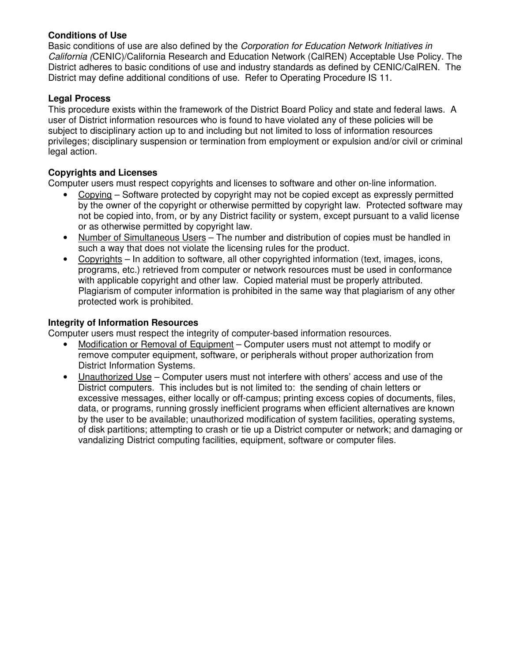#### **Conditions of Use**

Basic conditions of use are also defined by the Corporation for Education Network Initiatives in California (CENIC)/California Research and Education Network (CalREN) Acceptable Use Policy. The District adheres to basic conditions of use and industry standards as defined by CENIC/CalREN. The District may define additional conditions of use. Refer to Operating Procedure IS 11.

#### **Legal Process**

This procedure exists within the framework of the District Board Policy and state and federal laws. A user of District information resources who is found to have violated any of these policies will be subject to disciplinary action up to and including but not limited to loss of information resources privileges; disciplinary suspension or termination from employment or expulsion and/or civil or criminal legal action.

#### **Copyrights and Licenses**

Computer users must respect copyrights and licenses to software and other on-line information.

- Copying Software protected by copyright may not be copied except as expressly permitted by the owner of the copyright or otherwise permitted by copyright law. Protected software may not be copied into, from, or by any District facility or system, except pursuant to a valid license or as otherwise permitted by copyright law.
- Number of Simultaneous Users The number and distribution of copies must be handled in such a way that does not violate the licensing rules for the product.
- Copyrights In addition to software, all other copyrighted information (text, images, icons, programs, etc.) retrieved from computer or network resources must be used in conformance with applicable copyright and other law. Copied material must be properly attributed. Plagiarism of computer information is prohibited in the same way that plagiarism of any other protected work is prohibited.

#### **Integrity of Information Resources**

Computer users must respect the integrity of computer-based information resources.

- Modification or Removal of Equipment Computer users must not attempt to modify or remove computer equipment, software, or peripherals without proper authorization from District Information Systems.
- Unauthorized Use Computer users must not interfere with others' access and use of the District computers. This includes but is not limited to: the sending of chain letters or excessive messages, either locally or off-campus; printing excess copies of documents, files, data, or programs, running grossly inefficient programs when efficient alternatives are known by the user to be available; unauthorized modification of system facilities, operating systems, of disk partitions; attempting to crash or tie up a District computer or network; and damaging or vandalizing District computing facilities, equipment, software or computer files.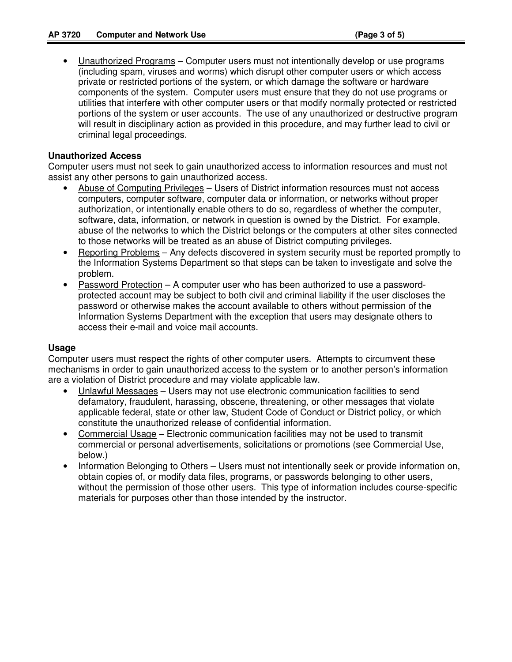• Unauthorized Programs – Computer users must not intentionally develop or use programs (including spam, viruses and worms) which disrupt other computer users or which access private or restricted portions of the system, or which damage the software or hardware components of the system. Computer users must ensure that they do not use programs or utilities that interfere with other computer users or that modify normally protected or restricted portions of the system or user accounts. The use of any unauthorized or destructive program will result in disciplinary action as provided in this procedure, and may further lead to civil or criminal legal proceedings.

#### **Unauthorized Access**

Computer users must not seek to gain unauthorized access to information resources and must not assist any other persons to gain unauthorized access.

- Abuse of Computing Privileges Users of District information resources must not access computers, computer software, computer data or information, or networks without proper authorization, or intentionally enable others to do so, regardless of whether the computer, software, data, information, or network in question is owned by the District. For example, abuse of the networks to which the District belongs or the computers at other sites connected to those networks will be treated as an abuse of District computing privileges.
- Reporting Problems Any defects discovered in system security must be reported promptly to the Information Systems Department so that steps can be taken to investigate and solve the problem.
- Password Protection A computer user who has been authorized to use a passwordprotected account may be subject to both civil and criminal liability if the user discloses the password or otherwise makes the account available to others without permission of the Information Systems Department with the exception that users may designate others to access their e-mail and voice mail accounts.

#### **Usage**

Computer users must respect the rights of other computer users. Attempts to circumvent these mechanisms in order to gain unauthorized access to the system or to another person's information are a violation of District procedure and may violate applicable law.

- Unlawful Messages Users may not use electronic communication facilities to send defamatory, fraudulent, harassing, obscene, threatening, or other messages that violate applicable federal, state or other law, Student Code of Conduct or District policy, or which constitute the unauthorized release of confidential information.
- Commercial Usage Electronic communication facilities may not be used to transmit commercial or personal advertisements, solicitations or promotions (see Commercial Use, below.)
- Information Belonging to Others Users must not intentionally seek or provide information on, obtain copies of, or modify data files, programs, or passwords belonging to other users, without the permission of those other users. This type of information includes course-specific materials for purposes other than those intended by the instructor.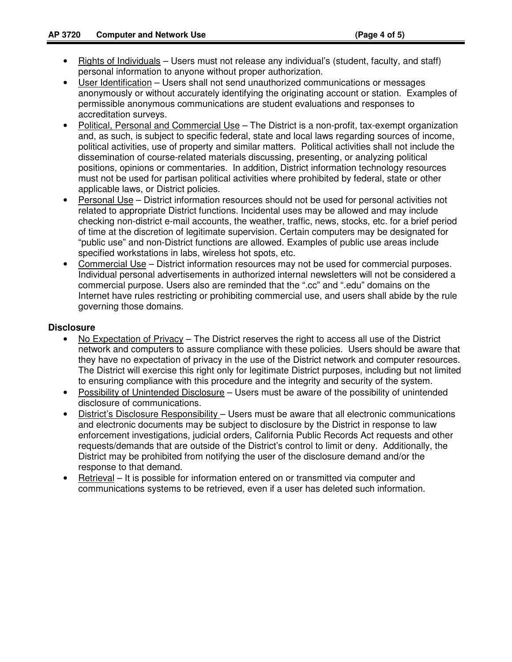- Rights of Individuals Users must not release any individual's (student, faculty, and staff) personal information to anyone without proper authorization.
- User Identification Users shall not send unauthorized communications or messages anonymously or without accurately identifying the originating account or station. Examples of permissible anonymous communications are student evaluations and responses to accreditation surveys.
- Political, Personal and Commercial Use The District is a non-profit, tax-exempt organization and, as such, is subject to specific federal, state and local laws regarding sources of income, political activities, use of property and similar matters. Political activities shall not include the dissemination of course-related materials discussing, presenting, or analyzing political positions, opinions or commentaries. In addition, District information technology resources must not be used for partisan political activities where prohibited by federal, state or other applicable laws, or District policies.
- Personal Use District information resources should not be used for personal activities not related to appropriate District functions. Incidental uses may be allowed and may include checking non-district e-mail accounts, the weather, traffic, news, stocks, etc. for a brief period of time at the discretion of legitimate supervision. Certain computers may be designated for "public use" and non-District functions are allowed. Examples of public use areas include specified workstations in labs, wireless hot spots, etc.
- Commercial Use District information resources may not be used for commercial purposes. Individual personal advertisements in authorized internal newsletters will not be considered a commercial purpose. Users also are reminded that the ".cc" and ".edu" domains on the Internet have rules restricting or prohibiting commercial use, and users shall abide by the rule governing those domains.

#### **Disclosure**

- No Expectation of Privacy The District reserves the right to access all use of the District network and computers to assure compliance with these policies. Users should be aware that they have no expectation of privacy in the use of the District network and computer resources. The District will exercise this right only for legitimate District purposes, including but not limited to ensuring compliance with this procedure and the integrity and security of the system.
- Possibility of Unintended Disclosure Users must be aware of the possibility of unintended disclosure of communications.
- District's Disclosure Responsibility Users must be aware that all electronic communications and electronic documents may be subject to disclosure by the District in response to law enforcement investigations, judicial orders, California Public Records Act requests and other requests/demands that are outside of the District's control to limit or deny. Additionally, the District may be prohibited from notifying the user of the disclosure demand and/or the response to that demand.
- Retrieval It is possible for information entered on or transmitted via computer and communications systems to be retrieved, even if a user has deleted such information.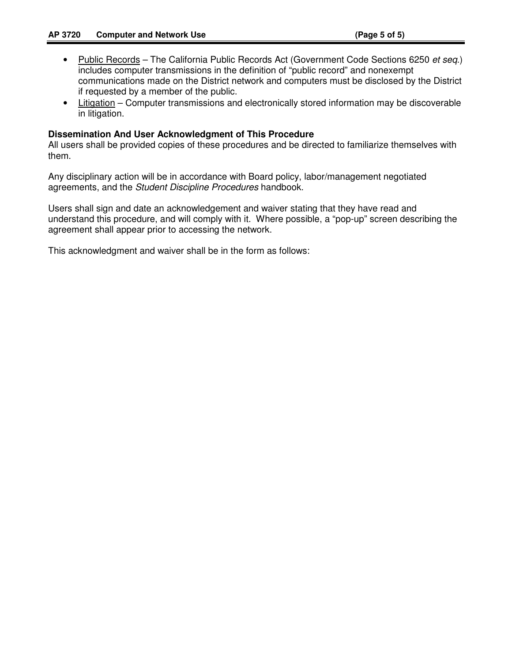- Public Records The California Public Records Act (Government Code Sections 6250 et seq.) includes computer transmissions in the definition of "public record" and nonexempt communications made on the District network and computers must be disclosed by the District if requested by a member of the public.
- Litigation Computer transmissions and electronically stored information may be discoverable in litigation.

#### **Dissemination And User Acknowledgment of This Procedure**

All users shall be provided copies of these procedures and be directed to familiarize themselves with them.

Any disciplinary action will be in accordance with Board policy, labor/management negotiated agreements, and the Student Discipline Procedures handbook.

Users shall sign and date an acknowledgement and waiver stating that they have read and understand this procedure, and will comply with it. Where possible, a "pop-up" screen describing the agreement shall appear prior to accessing the network.

This acknowledgment and waiver shall be in the form as follows: